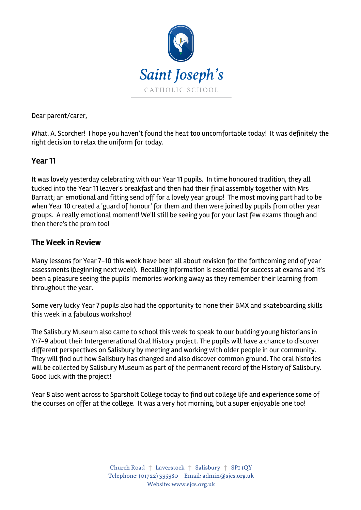

Dear parent/carer,

What. A. Scorcher! I hope you haven't found the heat too uncomfortable today! It was definitely the right decision to relax the uniform for today.

#### **Year 11**

It was lovely yesterday celebrating with our Year 11 pupils. In time honoured tradition, they all tucked into the Year 11 leaver's breakfast and then had their final assembly together with Mrs Barratt; an emotional and fitting send off for a lovely year group! The most moving part had to be when Year 10 created a 'guard of honour' for them and then were joined by pupils from other year groups. A really emotional moment! We'll still be seeing you for your last few exams though and then there's the prom too!

#### **The Week in Review**

Many lessons for Year 7-10 this week have been all about revision for the forthcoming end of year assessments (beginning next week). Recalling information is essential for success at exams and it's been a pleasure seeing the pupils' memories working away as they remember their learning from throughout the year.

Some very lucky Year 7 pupils also had the opportunity to hone their BMX and skateboarding skills this week in a fabulous workshop!

The Salisbury Museum also came to school this week to speak to our budding young historians in Yr7-9 about their Intergenerational Oral History project. The pupils will have a chance to discover different perspectives on Salisbury by meeting and working with older people in our community. They will find out how Salisbury has changed and also discover common ground. The oral histories will be collected by Salisbury Museum as part of the permanent record of the History of Salisbury. Good luck with the project!

Year 8 also went across to Sparsholt College today to find out college life and experience some of the courses on offer at the college. It was a very hot morning, but a super enjoyable one too!

> Church Road † Laverstock † Salisbury † SP1 1QY Telephone: (01722) 335380 Email: admin@sjcs.org.uk Website: www.sjcs.org.uk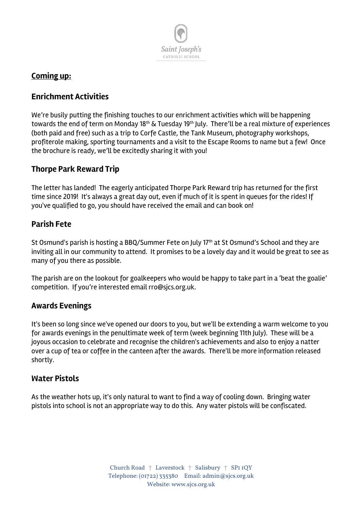

# **Coming up:**

## **Enrichment Activities**

We're busily putting the finishing touches to our enrichment activities which will be happening towards the end of term on Monday 18<sup>th</sup> & Tuesday 19<sup>th</sup> July. There'll be a real mixture of experiences (both paid and free) such as a trip to Corfe Castle, the Tank Museum, photography workshops, profiterole making, sporting tournaments and a visit to the Escape Rooms to name but a few! Once the brochure is ready, we'll be excitedly sharing it with you!

## **Thorpe Park Reward Trip**

The letter has landed! The eagerly anticipated Thorpe Park Reward trip has returned for the first time since 2019! It's always a great day out, even if much of it is spent in queues for the rides! If you've qualified to go, you should have received the email and can book on!

## **Parish Fete**

St Osmund's parish is hosting a BBO/Summer Fete on July 17<sup>th</sup> at St Osmund's School and they are inviting all in our community to attend. It promises to be a lovely day and it would be great to see as many of you there as possible.

The parish are on the lookout for goalkeepers who would be happy to take part in a 'beat the goalie' competition. If you're interested email rro@sjcs.org.uk.

#### **Awards Evenings**

It's been so long since we've opened our doors to you, but we'll be extending a warm welcome to you for awards evenings in the penultimate week of term (week beginning 11th July). These will be a joyous occasion to celebrate and recognise the children's achievements and also to enjoy a natter over a cup of tea or coffee in the canteen after the awards. There'll be more information released shortly.

## **Water Pistols**

As the weather hots up, it's only natural to want to find a way of cooling down. Bringing water pistols into school is not an appropriate way to do this. Any water pistols will be confiscated.